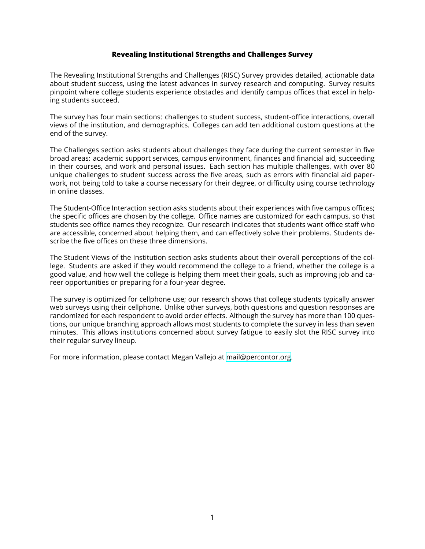### **Revealing Institutional Strengths and Challenges Survey**

The Revealing Institutional Strengths and Challenges (RISC) Survey provides detailed, actionable data about student success, using the latest advances in survey research and computing. Survey results pinpoint where college students experience obstacles and identify campus offices that excel in helping students succeed.

The survey has four main sections: challenges to student success, student-office interactions, overall views of the institution, and demographics. Colleges can add ten additional custom questions at the end of the survey.

The Challenges section asks students about challenges they face during the current semester in five broad areas: academic support services, campus environment, finances and financial aid, succeeding in their courses, and work and personal issues. Each section has multiple challenges, with over 80 unique challenges to student success across the five areas, such as errors with financial aid paperwork, not being told to take a course necessary for their degree, or difficulty using course technology in online classes.

The Student-Office Interaction section asks students about their experiences with five campus offices; the specific offices are chosen by the college. Office names are customized for each campus, so that students see office names they recognize. Our research indicates that students want office staff who are accessible, concerned about helping them, and can effectively solve their problems. Students describe the five offices on these three dimensions.

The Student Views of the Institution section asks students about their overall perceptions of the college. Students are asked if they would recommend the college to a friend, whether the college is a good value, and how well the college is helping them meet their goals, such as improving job and career opportunities or preparing for a four-year degree.

The survey is optimized for cellphone use; our research shows that college students typically answer web surveys using their cellphone. Unlike other surveys, both questions and question responses are randomized for each respondent to avoid order effects. Although the survey has more than 100 questions, our unique branching approach allows most students to complete the survey in less than seven minutes. This allows institutions concerned about survey fatigue to easily slot the RISC survey into their regular survey lineup.

For more information, please contact Megan Vallejo at [mail@percontor.org](mailto:mail@percontor.org).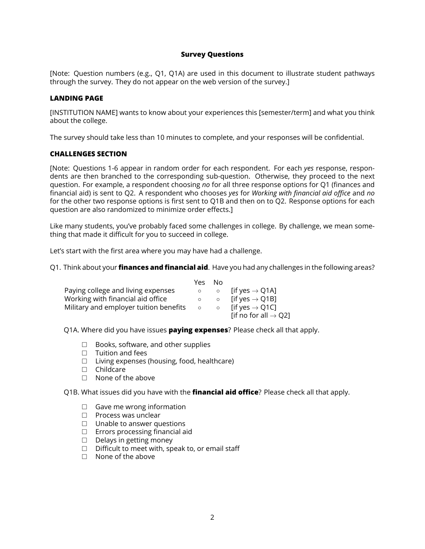### **Survey Questions**

[Note: Question numbers (e.g., Q1, Q1A) are used in this document to illustrate student pathways through the survey. They do not appear on the web version of the survey.]

### **LANDING PAGE**

[INSTITUTION NAME] wants to know about your experiences this [semester/term] and what you think about the college.

The survey should take less than 10 minutes to complete, and your responses will be confidential.

## **CHALLENGES SECTION**

[Note: Questions 1-6 appear in random order for each respondent. For each *yes* response, respondents are then branched to the corresponding sub-question. Otherwise, they proceed to the next question. For example, a respondent choosing *no* for all three response options for Q1 (finances and financial aid) is sent to Q2. A respondent who chooses *yes* for *Working with financial aid office* and *no* for the other two response options is first sent to Q1B and then on to Q2. Response options for each question are also randomized to minimize order effects.]

Like many students, you've probably faced some challenges in college. By challenge, we mean something that made it difficult for you to succeed in college.

Let's start with the first area where you may have had a challenge.

Q1. Think about your **finances and financial aid**. Have you had any challenges in the following areas?

|         |         | [if yes $\rightarrow$ Q1A]                 |
|---------|---------|--------------------------------------------|
|         |         | [if yes $\rightarrow$ Q1B]                 |
| $\circ$ | $\circ$ | [if yes $\rightarrow$ Q1C]                 |
|         |         | [if no for all $\rightarrow$ Q2]           |
|         |         | Yes No<br>$\overline{O}$<br>$\overline{O}$ |

Q1A. Where did you have issues **paying expenses**? Please check all that apply.

- $\Box$  Books, software, and other supplies
- $\Box$  Tuition and fees
- $\Box$  Living expenses (housing, food, healthcare)
- □ Childcare
- $\Box$  None of the above

Q1B. What issues did you have with the **financial aid office**? Please check all that apply.

- $\Box$  Gave me wrong information
- $\Box$  Process was unclear
- $\square$  Unable to answer questions
- $\Box$  Errors processing financial aid
- $\Box$  Delays in getting money
- $\Box$  Difficult to meet with, speak to, or email staff
- $\Box$  None of the above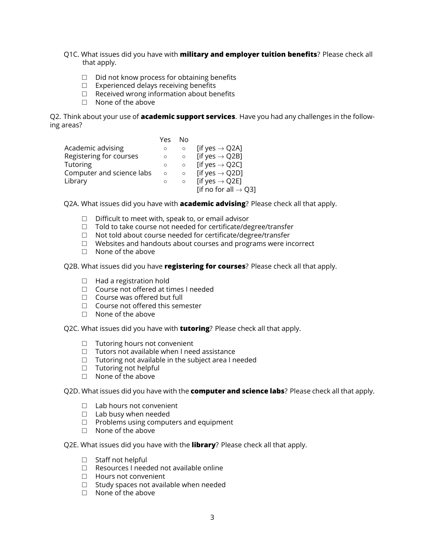- Q1C. What issues did you have with **military and employer tuition benefits**? Please check all that apply.
	- $\Box$  Did not know process for obtaining benefits
	- $\Box$  Experienced delays receiving benefits
	- $\Box$  Received wrong information about benefits
	- $\Box$  None of the above

Q2. Think about your use of **academic support services**. Have you had any challenges in the following areas?

|                           | Yes.    | N٥      |                                  |
|---------------------------|---------|---------|----------------------------------|
| Academic advising         | $\circ$ | $\circ$ | [if yes $\rightarrow$ Q2A]       |
| Registering for courses   | $\circ$ | $\circ$ | [if yes $\rightarrow$ Q2B]       |
| Tutoring                  | $\circ$ | $\circ$ | [if yes $\rightarrow$ Q2C]       |
| Computer and science labs | $\circ$ | $\circ$ | [if yes $\rightarrow$ Q2D]       |
| Library                   | $\circ$ | $\circ$ | [if yes $\rightarrow$ Q2E]       |
|                           |         |         | [if no for all $\rightarrow$ Q3] |

Q2A. What issues did you have with **academic advising**? Please check all that apply.

- $\Box$  Difficult to meet with, speak to, or email advisor
- □ Told to take course not needed for certificate/degree/transfer
- $\Box$  Not told about course needed for certificate/degree/transfer
- $\Box$  Websites and handouts about courses and programs were incorrect
- $\Box$  None of the above

Q2B. What issues did you have **registering for courses**? Please check all that apply.

- $\Box$  Had a registration hold
- $\Box$  Course not offered at times I needed
- $\Box$  Course was offered but full
- $\Box$  Course not offered this semester
- $\Box$  None of the above

Q2C. What issues did you have with **tutoring**? Please check all that apply.

- $\Box$  Tutoring hours not convenient
- $\Box$  Tutors not available when I need assistance
- $\Box$  Tutoring not available in the subject area I needed
- $\Box$  Tutoring not helpful
- $\Box$  None of the above

Q2D. What issues did you have with the **computer and science labs**? Please check all that apply.

- $\Box$  Lab hours not convenient
- $\Box$  Lab busy when needed
- $\Box$  Problems using computers and equipment
- $\Box$  None of the above
- Q2E. What issues did you have with the **library**? Please check all that apply.
	- $\Box$  Staff not helpful
	- $\Box$  Resources I needed not available online
	- □ Hours not convenient
	- $\Box$  Study spaces not available when needed
	- $\Box$  None of the above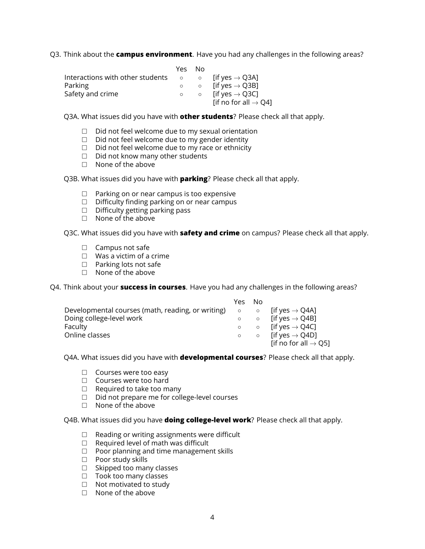Q3. Think about the **campus environment**. Have you had any challenges in the following areas?

|                                  | Yes No  |         |                                    |
|----------------------------------|---------|---------|------------------------------------|
| Interactions with other students | $\circ$ | $\circ$ | [if yes $\rightarrow$ Q3A]         |
| Parking                          | $\circ$ |         | $\circ$ [if yes $\rightarrow$ Q3B] |
| Safety and crime                 | $\circ$ | $\circ$ | [if yes $\rightarrow$ Q3C]         |
|                                  |         |         | [if no for all $\rightarrow$ Q4]   |

Q3A. What issues did you have with **other students**? Please check all that apply.

- $\Box$  Did not feel welcome due to my sexual orientation
- $\Box$  Did not feel welcome due to my gender identity
- $\Box$  Did not feel welcome due to my race or ethnicity
- $\Box$  Did not know many other students
- $\Box$  None of the above

Q3B. What issues did you have with **parking**? Please check all that apply.

- $\Box$  Parking on or near campus is too expensive
- $\Box$  Difficulty finding parking on or near campus
- $\Box$  Difficulty getting parking pass
- $\Box$  None of the above

Q3C. What issues did you have with **safety and crime** on campus? Please check all that apply.

- $\Box$  Campus not safe
- $\Box$  Was a victim of a crime
- $\Box$  Parking lots not safe
- $\Box$  None of the above
- Q4. Think about your **success in courses**. Have you had any challenges in the following areas?

|                                                   | Yes No  |         |                                                                |
|---------------------------------------------------|---------|---------|----------------------------------------------------------------|
| Developmental courses (math, reading, or writing) | $\circ$ | $\circ$ | Tif ves $\rightarrow$ O4A1                                     |
| Doing college-level work                          |         | $\circ$ | [if yes $\rightarrow$ Q4B]                                     |
| Faculty                                           |         |         | $\circ$ [if yes $\rightarrow$ Q4C]                             |
| Online classes                                    | $\circ$ | $\circ$ | [if yes $\rightarrow$ Q4D]<br>[if no for all $\rightarrow$ Q5] |

Q4A. What issues did you have with **developmental courses**? Please check all that apply.

- $\Box$  Courses were too easy
- $\Box$  Courses were too hard
- $\Box$  Required to take too many
- $\Box$  Did not prepare me for college-level courses
- $\Box$  None of the above

Q4B. What issues did you have **doing college-level work**? Please check all that apply.

- $\Box$  Reading or writing assignments were difficult
- $\Box$  Required level of math was difficult
- $\Box$  Poor planning and time management skills
- $\Box$  Poor study skills
- $\square$  Skipped too many classes
- $\Box$  Took too many classes
- $\Box$  Not motivated to study
- $\Box$  None of the above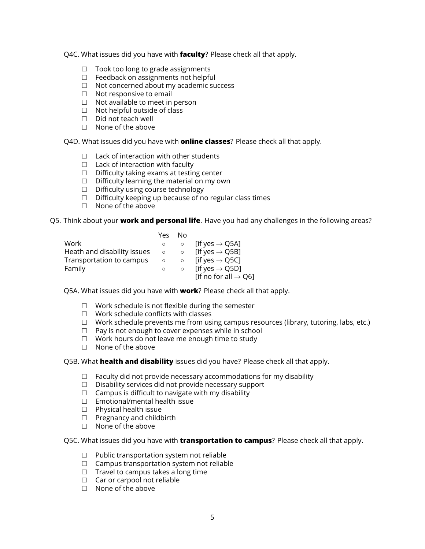Q4C. What issues did you have with **faculty**? Please check all that apply.

- $\Box$  Took too long to grade assignments
- $\Box$  Feedback on assignments not helpful
- $\Box$  Not concerned about my academic success
- $\Box$  Not responsive to email
- $\Box$  Not available to meet in person
- $\Box$  Not helpful outside of class
- $\Box$  Did not teach well
- $\Box$  None of the above

Q4D. What issues did you have with **online classes**? Please check all that apply.

- $\Box$  Lack of interaction with other students
- $\Box$  Lack of interaction with faculty
- $\Box$  Difficulty taking exams at testing center
- $\Box$  Difficulty learning the material on my own
- $\Box$  Difficulty using course technology
- $\Box$  Difficulty keeping up because of no regular class times
- $\Box$  None of the above

Q5. Think about your **work and personal life**. Have you had any challenges in the following areas?

|                             | Yes     | No.     |                                  |
|-----------------------------|---------|---------|----------------------------------|
| Work                        | $\circ$ | $\circ$ | [if yes $\rightarrow$ Q5A]       |
| Heath and disability issues | $\circ$ | $\circ$ | [if yes $\rightarrow$ Q5B]       |
| Transportation to campus    | $\circ$ | $\circ$ | [if yes $\rightarrow$ Q5C]       |
| Family                      | $\circ$ | $\circ$ | [if yes $\rightarrow$ Q5D]       |
|                             |         |         | [if no for all $\rightarrow$ Q6] |

Q5A. What issues did you have with **work**? Please check all that apply.

- $\Box$  Work schedule is not flexible during the semester
- $\square$  Work schedule conflicts with classes
- $\Box$  Work schedule prevents me from using campus resources (library, tutoring, labs, etc.)
- $\Box$  Pay is not enough to cover expenses while in school
- $\Box$  Work hours do not leave me enough time to study
- $\Box$  None of the above

Q5B. What **health and disability** issues did you have? Please check all that apply.

- $\Box$  Faculty did not provide necessary accommodations for my disability
- $\square$  Disability services did not provide necessary support
- $\Box$  Campus is difficult to navigate with my disability
- $\square$  Emotional/mental health issue
- $\Box$  Physical health issue
- $\Box$  Pregnancy and childbirth
- $\Box$  None of the above

Q5C. What issues did you have with **transportation to campus**? Please check all that apply.

- $\Box$  Public transportation system not reliable
- $\Box$  Campus transportation system not reliable
- $\Box$  Travel to campus takes a long time
- $\Box$  Car or carpool not reliable
- $\Box$  None of the above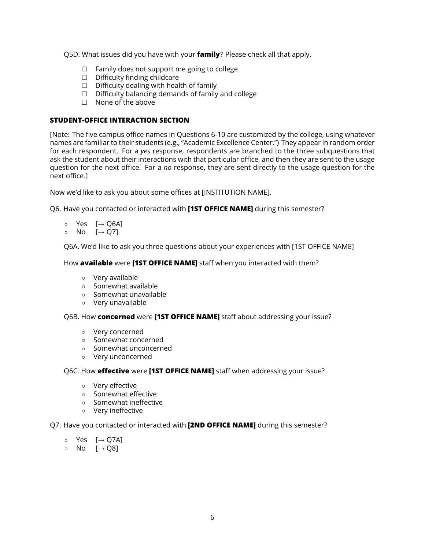Q5D. What issues did you have with your **family**? Please check all that apply.

- $\Box$  Family does not support me going to college
- $\Box$  Difficulty finding childcare
- $\Box$  Difficulty dealing with health of family
- $\Box$  Difficulty balancing demands of family and college
- $\Box$  None of the above

### **STUDENT-OFFICE INTERACTION SECTION**

[Note: The five campus office names in Questions 6-10 are customized by the college, using whatever names are familiar to their students (e.g., "Academic Excellence Center.") They appear in random order for each respondent. For a *yes* response, respondents are branched to the three subquestions that ask the student about their interactions with that particular office, and then they are sent to the usage question for the next office. For a *no* response, they are sent directly to the usage question for the next office.]

Now we'd like to ask you about some offices at [INSTITUTION NAME].

Q6. Have you contacted or interacted with **[1ST OFFICE NAME]** during this semester?

- *◦* Yes [*→* Q6A]
- *◦* No [*→* Q7]

Q6A. We'd like to ask you three questions about your experiences with [1ST OFFICE NAME]

### How **available** were **[1ST OFFICE NAME]** staff when you interacted with them?

- *◦* Very available
- *◦* Somewhat available
- *◦* Somewhat unavailable
- *◦* Very unavailable

### Q6B. How **concerned** were **[1ST OFFICE NAME]** staff about addressing your issue?

- *◦* Very concerned
- *◦* Somewhat concerned
- *◦* Somewhat unconcerned
- *◦* Very unconcerned

#### Q6C. How **effective** were **[1ST OFFICE NAME]** staff when addressing your issue?

- *◦* Very effective
- *◦* Somewhat effective
- *◦* Somewhat ineffective
- *◦* Very ineffective

#### Q7. Have you contacted or interacted with **[2ND OFFICE NAME]** during this semester?

- *◦* Yes [*→* Q7A]
- *◦* No [*→* Q8]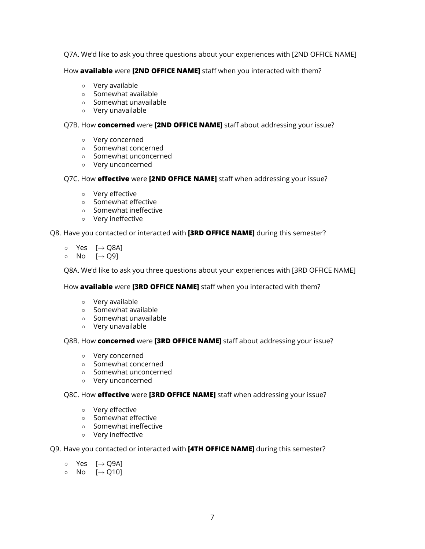Q7A. We'd like to ask you three questions about your experiences with [2ND OFFICE NAME]

How **available** were **[2ND OFFICE NAME]** staff when you interacted with them?

- *◦* Very available
- *◦* Somewhat available
- *◦* Somewhat unavailable
- *◦* Very unavailable

### Q7B. How **concerned** were **[2ND OFFICE NAME]** staff about addressing your issue?

- *◦* Very concerned
- *◦* Somewhat concerned
- *◦* Somewhat unconcerned
- *◦* Very unconcerned

## Q7C. How **effective** were **[2ND OFFICE NAME]** staff when addressing your issue?

- *◦* Very effective
- *◦* Somewhat effective
- *◦* Somewhat ineffective
- *◦* Very ineffective

### Q8. Have you contacted or interacted with **[3RD OFFICE NAME]** during this semester?

- *◦* Yes [*→* Q8A]
- *◦* No [*→* Q9]

Q8A. We'd like to ask you three questions about your experiences with [3RD OFFICE NAME]

#### How **available** were **[3RD OFFICE NAME]** staff when you interacted with them?

- *◦* Very available
- *◦* Somewhat available
- *◦* Somewhat unavailable
- *◦* Very unavailable

#### Q8B. How **concerned** were **[3RD OFFICE NAME]** staff about addressing your issue?

- *◦* Very concerned
- *◦* Somewhat concerned
- *◦* Somewhat unconcerned
- *◦* Very unconcerned

## Q8C. How **effective** were **[3RD OFFICE NAME]** staff when addressing your issue?

- *◦* Very effective
- *◦* Somewhat effective
- *◦* Somewhat ineffective
- *◦* Very ineffective

#### Q9. Have you contacted or interacted with **[4TH OFFICE NAME]** during this semester?

- *◦* Yes [*→* Q9A]
- *◦* No [*→* Q10]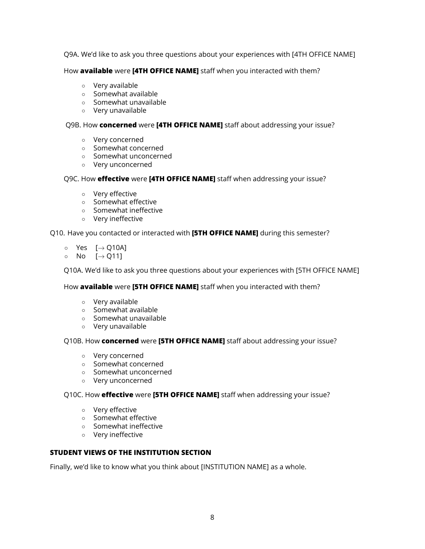Q9A. We'd like to ask you three questions about your experiences with [4TH OFFICE NAME]

How **available** were **[4TH OFFICE NAME]** staff when you interacted with them?

- *◦* Very available
- *◦* Somewhat available
- *◦* Somewhat unavailable
- *◦* Very unavailable

# Q9B. How **concerned** were **[4TH OFFICE NAME]** staff about addressing your issue?

- *◦* Very concerned
- *◦* Somewhat concerned
- *◦* Somewhat unconcerned
- *◦* Very unconcerned

# Q9C. How **effective** were **[4TH OFFICE NAME]** staff when addressing your issue?

- *◦* Very effective
- *◦* Somewhat effective
- *◦* Somewhat ineffective
- *◦* Very ineffective

# Q10. Have you contacted or interacted with **[5TH OFFICE NAME]** during this semester?

- *◦* Yes [*→* Q10A]
- *◦* No [*→* Q11]

Q10A. We'd like to ask you three questions about your experiences with [5TH OFFICE NAME]

## How **available** were **[5TH OFFICE NAME]** staff when you interacted with them?

- *◦* Very available
- *◦* Somewhat available
- *◦* Somewhat unavailable
- *◦* Very unavailable

## Q10B. How **concerned** were **[5TH OFFICE NAME]** staff about addressing your issue?

- *◦* Very concerned
- *◦* Somewhat concerned
- *◦* Somewhat unconcerned
- *◦* Very unconcerned

# Q10C. How **effective** were **[5TH OFFICE NAME]** staff when addressing your issue?

- *◦* Very effective
- *◦* Somewhat effective
- *◦* Somewhat ineffective
- *◦* Very ineffective

# **STUDENT VIEWS OF THE INSTITUTION SECTION**

Finally, we'd like to know what you think about [INSTITUTION NAME] as a whole.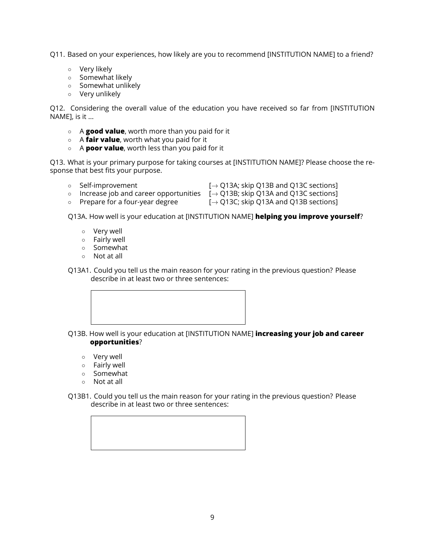Q11. Based on your experiences, how likely are you to recommend [INSTITUTION NAME] to a friend?

- *◦* Very likely
- *◦* Somewhat likely
- *◦* Somewhat unlikely
- *◦* Very unlikely

Q12. Considering the overall value of the education you have received so far from [INSTITUTION NAME], is it ...

- *◦* A **good value**, worth more than you paid for it
- *◦* A **fair value**, worth what you paid for it
- *◦* A **poor value**, worth less than you paid for it

Q13. What is your primary purpose for taking courses at [INSTITUTION NAME]? Please choose the response that best fits your purpose.

| ○ Self-improvement | $\left[ \rightarrow Q$ 13A; skip Q13B and Q13C sections] |  |
|--------------------|----------------------------------------------------------|--|
|                    |                                                          |  |

- *◦* Increase job and career opportunities [*→* Q13B; skip Q13A and Q13C sections]
- 
- *◦* Prepare for a four-year degree [*→* Q13C; skip Q13A and Q13B sections]

Q13A. How well is your education at [INSTITUTION NAME] **helping you improve yourself**?

- *◦* Very well
- *◦* Fairly well
- *◦* Somewhat
- *◦* Not at all
- Q13A1. Could you tell us the main reason for your rating in the previous question? Please describe in at least two or three sentences:



- Q13B. How well is your education at [INSTITUTION NAME] **increasing your job and career opportunities**?
	- *◦* Very well
	- *◦* Fairly well
	- *◦* Somewhat
	- *◦* Not at all
- Q13B1. Could you tell us the main reason for your rating in the previous question? Please describe in at least two or three sentences:

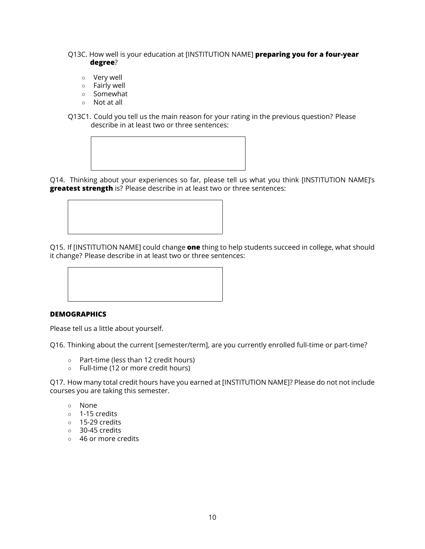- Q13C. How well is your education at [INSTITUTION NAME] **preparing you for a four-year degree**?
	- *◦* Very well
	- *◦* Fairly well
	- *◦* Somewhat
	- *◦* Not at all

Q13C1. Could you tell us the main reason for your rating in the previous question? Please describe in at least two or three sentences:



Q14. Thinking about your experiences so far, please tell us what you think [INSTITUTION NAME]'s **greatest strength** is? Please describe in at least two or three sentences:



Q15. If [INSTITUTION NAME] could change **one** thing to help students succeed in college, what should it change? Please describe in at least two or three sentences:



# **DEMOGRAPHICS**

Please tell us a little about yourself.

Q16. Thinking about the current [semester/term], are you currently enrolled full-time or part-time?

- *◦* Part-time (less than 12 credit hours)
- *◦* Full-time (12 or more credit hours)

Q17. How many total credit hours have you earned at [INSTITUTION NAME]? Please do not not include courses you are taking this semester.

- *◦* None
- *◦* 1-15 credits
- *◦* 15-29 credits
- *◦* 30-45 credits
- *◦* 46 or more credits